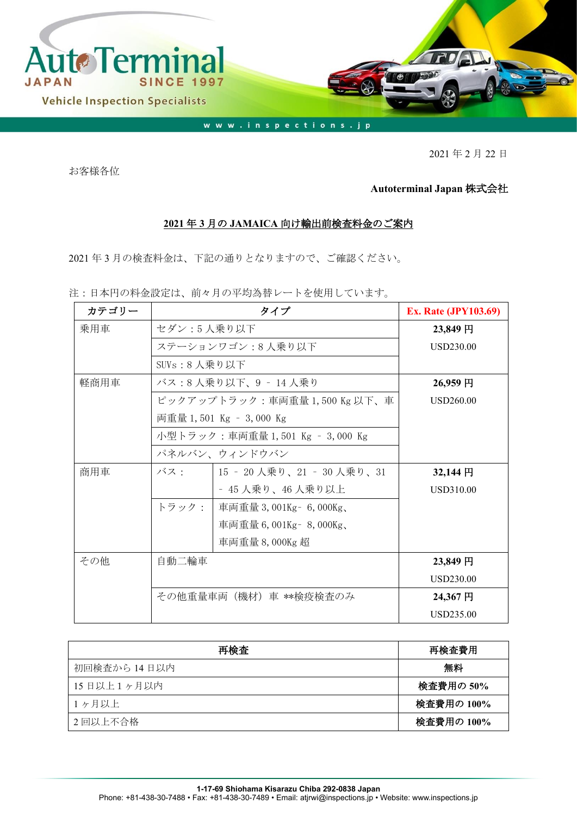

2021 年 2 月 22 日

お客様各位

## **Autoterminal Japan** 株式会社

## **2021** 年 **3** 月の **JAMAICA** 向け輸出前検査料金のご案内

2021 年 3 月の検査料金は、下記の通りとなりますので、ご確認ください。

注:日本円の料金設定は、前々月の平均為替レートを使用しています。

| カテゴリー |                            | <b>Ex. Rate (JPY103.69)</b>     |            |
|-------|----------------------------|---------------------------------|------------|
| 乗用車   | セダン:5人乗り以下                 |                                 | 23,849円    |
|       | ステーションワゴン:8人乗り以下           | USD230.00                       |            |
|       | SUVs:8 人乗り以下               |                                 |            |
| 軽商用車  |                            | バス:8 人乗り以下、9 ‐ 14 人乗り           | 26,959円    |
|       | ピックアップトラック:車両重量1,500Kg以下、車 | USD260.00                       |            |
|       |                            | 両重量 1,501 Kg – 3,000 Kg         |            |
|       |                            | 小型トラック:車両重量 1,501 Kg – 3,000 Kg |            |
|       |                            | パネルバン、ウィンドウバン                   |            |
| 商用車   | バス・                        | 15 - 20人乗り、21 - 30人乗り、31        | $32,144$ 円 |
|       |                            | - 45 人乗り、46 人乗り以上               | USD310.00  |
|       | トラック:                      | 車両重量 3,001Kg - 6,000Kg、         |            |
|       |                            | 車両重量 6,001Kg - 8,000Kg、         |            |
|       |                            | 車両重量 8,000Kg 超                  |            |
| その他   | 自動二輪車                      |                                 | 23,849円    |
|       |                            |                                 | USD230.00  |
|       | その他重量車両(機材)車 **検疫検査のみ      |                                 | 24,367円    |
|       |                            |                                 | USD235.00  |

| 再検査          | 再検査費用      |
|--------------|------------|
| 初回検査から 14日以内 | 無料         |
| 15日以上1ヶ月以内   | 検査費用の 50%  |
| 1ヶ月以上        | 検査費用の 100% |
| 2回以上不合格      | 検査費用の 100% |